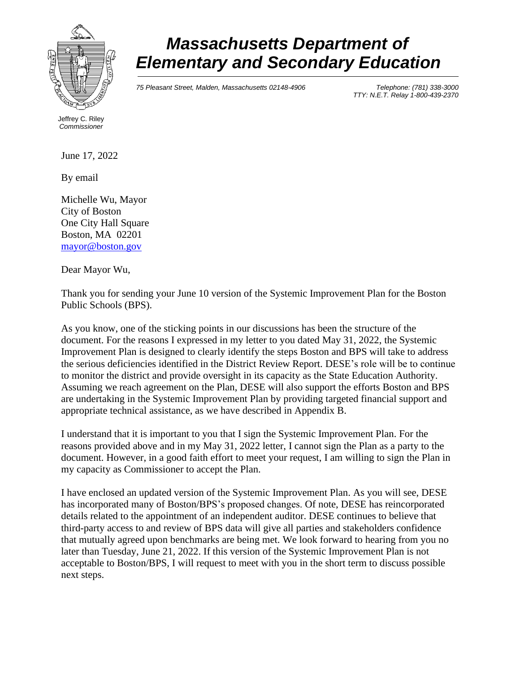

## *Massachusetts Department of Elementary and Secondary Education*

*75 Pleasant Street, Malden, Massachusetts 02148-4906 Telephone: (781) 338-3000* 

*TTY: N.E.T. Relay 1-800-439-2370*

Jeffrey C. Riley *Commissioner*

June 17, 2022

By email

Michelle Wu, Mayor City of Boston One City Hall Square Boston, MA 02201 [mayor@boston.gov](mailto:mayor@boston.gov)

Dear Mayor Wu,

Thank you for sending your June 10 version of the Systemic Improvement Plan for the Boston Public Schools (BPS).

As you know, one of the sticking points in our discussions has been the structure of the document. For the reasons I expressed in my letter to you dated May 31, 2022, the Systemic Improvement Plan is designed to clearly identify the steps Boston and BPS will take to address the serious deficiencies identified in the District Review Report. DESE's role will be to continue to monitor the district and provide oversight in its capacity as the State Education Authority. Assuming we reach agreement on the Plan, DESE will also support the efforts Boston and BPS are undertaking in the Systemic Improvement Plan by providing targeted financial support and appropriate technical assistance, as we have described in Appendix B.

I understand that it is important to you that I sign the Systemic Improvement Plan. For the reasons provided above and in my May 31, 2022 letter, I cannot sign the Plan as a party to the document. However, in a good faith effort to meet your request, I am willing to sign the Plan in my capacity as Commissioner to accept the Plan.

I have enclosed an updated version of the Systemic Improvement Plan. As you will see, DESE has incorporated many of Boston/BPS's proposed changes. Of note, DESE has reincorporated details related to the appointment of an independent auditor. DESE continues to believe that third-party access to and review of BPS data will give all parties and stakeholders confidence that mutually agreed upon benchmarks are being met. We look forward to hearing from you no later than Tuesday, June 21, 2022. If this version of the Systemic Improvement Plan is not acceptable to Boston/BPS, I will request to meet with you in the short term to discuss possible next steps.